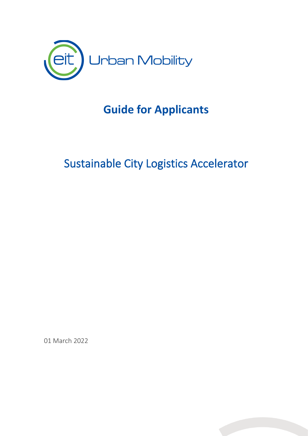

# **Guide for Applicants**

# Sustainable City Logistics Accelerator

01 March 2022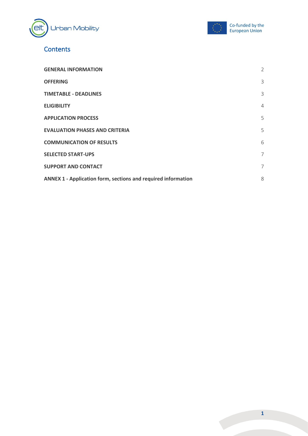



# **Contents**

| <b>GENERAL INFORMATION</b>                                           | 2 |
|----------------------------------------------------------------------|---|
| <b>OFFERING</b>                                                      | 3 |
| <b>TIMETABLE - DEADLINES</b>                                         | 3 |
| <b>ELIGIBILITY</b>                                                   | 4 |
| <b>APPLICATION PROCESS</b>                                           | 5 |
| <b>EVALUATION PHASES AND CRITERIA</b>                                | 5 |
| <b>COMMUNICATION OF RESULTS</b>                                      | 6 |
| <b>SELECTED START-UPS</b>                                            | 7 |
| <b>SUPPORT AND CONTACT</b>                                           | 7 |
| <b>ANNEX 1 - Application form, sections and required information</b> | 8 |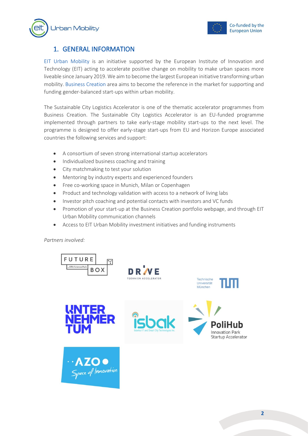



## <span id="page-2-0"></span>1. GENERAL INFORMATION

[EIT Urban Mobility](https://www.eiturbanmobility.eu/) is an initiative supported by the European Institute of Innovation and Technology (EIT) acting to accelerate positive change on mobility to make urban spaces more liveable since January 2019. We aim to become the largest European initiative transforming urban mobility. [Business Creation](https://www.eiturbanmobility.eu/business-creation/) area aims to become the reference in the market for supporting and funding gender-balanced start-ups within urban mobility.

The Sustainable City Logistics Accelerator is one of the thematic accelerator programmes from Business Creation. The Sustainable City Logistics Accelerator is an EU-funded programme implemented through partners to take early-stage mobility start-ups to the next level. The programme is designed to offer early-stage start-ups from EU and Horizon Europe associated countries the following services and support:

- A consortium of seven strong international startup accelerators
- Individualized business coaching and training
- City matchmaking to test your solution
- Mentoring by industry experts and experienced founders
- Free co-working space in Munich, Milan or Copenhagen
- Product and technology validation with access to a network of living labs
- Investor pitch coaching and potential contacts with investors and VC funds
- Promotion of your start-up at the Business Creation portfolio webpage, and through EIT Urban Mobility communication channels
- Access to EIT Urban Mobility investment initiatives and funding instruments

*Partners involved:*

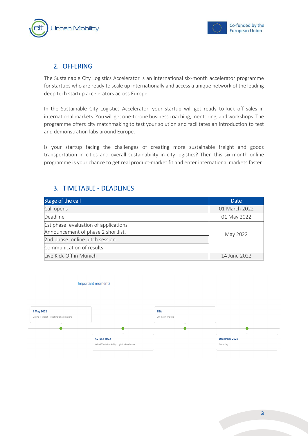



# <span id="page-3-0"></span>2. OFFERING

The Sustainable City Logistics Accelerator is an international six-month accelerator programme for startups who are ready to scale up internationally and access a unique network of the leading deep tech startup accelerators across Europe.

In the Sustainable City Logistics Accelerator, your startup will get ready to kick off sales in international markets. You will get one-to-one business coaching, mentoring, and workshops. The programme offers city matchmaking to test your solution and facilitates an introduction to test and demonstration labs around Europe.

Is your startup facing the challenges of creating more sustainable freight and goods transportation in cities and overall sustainability in city logistics? Then this six-month online programme is your chance to get real product-market fit and enter international markets faster.

## <span id="page-3-1"></span>3. TIMETABLE - DEADLINES

Important moments

| Stage of the call                     | <b>Date</b>   |
|---------------------------------------|---------------|
| Call opens                            | 01 March 2022 |
| Deadline                              | 01 May 2022   |
| 1st phase: evaluation of applications |               |
| Announcement of phase 2 shortlist.    | May 2022      |
| 2nd phase: online pitch session       |               |
| Communication of results              |               |
| Live Kick-Off in Munich               | 14 June 2022  |

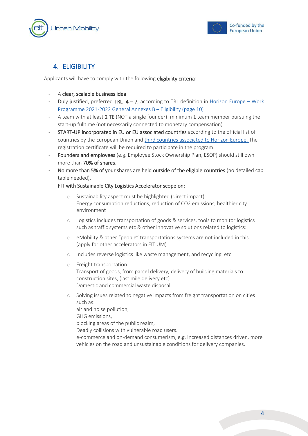



## <span id="page-4-0"></span>4. ELIGIBILITY

Applicants will have to comply with the following eligibility criteria:

- A clear, scalable business idea
- Duly justified, preferred TRL  $4 7$ , according to TRL definition in [Horizon Europe](https://ec.europa.eu/info/funding-tenders/opportunities/docs/2021-2027/horizon/wp-call/2021-2022/wp-13-general-annexes_horizon-2021-2022_en.pdf)  Work [Programme 2021-2022 General Annexes B](https://ec.europa.eu/info/funding-tenders/opportunities/docs/2021-2027/horizon/wp-call/2021-2022/wp-13-general-annexes_horizon-2021-2022_en.pdf) – Eligibility (page 10)
- A team with at least 2 TE (NOT a single founder): minimum 1 team member pursuing the start-up fulltime (not necessarily connected to monetary compensation)
- START-UP incorporated in EU or EU associated countries according to the official list of countries by the European Union and [third countries associated to Horizon Europe.](https://ec.europa.eu/info/funding-tenders/opportunities/docs/2021-2027/common/guidance/list-3rd-country-participation_horizon-euratom_en.pdf) The registration certificate will be required to participate in the program.
- Founders and employees (e.g. Employee Stock Ownership Plan, ESOP) should still own more than 70% of shares.
- No more than 5% of your shares are held outside of the eligible countries (no detailed cap table needed).
- FIT with Sustainable City Logistics Accelerator scope on:
	- Sustainability aspect must be highlighted (direct impact): Energy consumption reductions, reduction of CO2 emissions, healthier city environment
	- o Logistics includes transportation of goods & services, tools to monitor logistics such as traffic systems etc & other innovative solutions related to logistics:
	- o eMobility & other "people" transportations systems are not included in this (apply for other accelerators in EIT UM)
	- o Includes reverse logistics like waste management, and recycling, etc.
	- o Freight transportation: Transport of goods, from parcel delivery, delivery of building materials to construction sites, (last mile delivery etc) Domestic and commercial waste disposal.
	- o Solving issues related to negative impacts from freight transportation on cities such as:
		- air and noise pollution,
		- GHG emissions,
		- blocking areas of the public realm,
		- Deadly collisions with vulnerable road users.
		- e-commerce and on-demand consumerism, e.g. increased distances driven, more vehicles on the road and unsustainable conditions for delivery companies.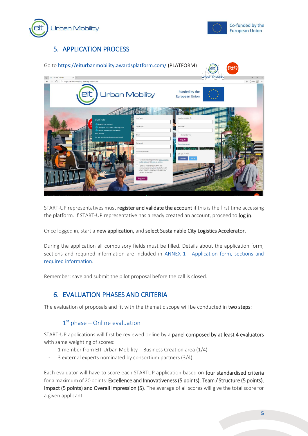



# <span id="page-5-0"></span>5. APPLICATION PROCESS



START-UP representatives must register and validate the account if this is the first time accessing the platform. If START-UP representative has already created an account, proceed to log in.

Once logged in, start a new application, and select Sustainable City Logistics Accelerator.

During the application all compulsory fields must be filled. Details about the application form, sections and required information are included in ANNEX 1 - Application form, sections and required information.

<span id="page-5-1"></span>Remember: save and submit the pilot proposal before the call is closed.

### 6. EVALUATION PHASES AND CRITERIA

The evaluation of proposals and fit with the thematic scope will be conducted in two steps:

#### 1st phase - Online evaluation

START-UP applications will first be reviewed online by a panel composed by at least 4 evaluators with same weighting of scores:

- 1 member from EIT Urban Mobility Business Creation area  $(1/4)$
- 3 external experts nominated by consortium partners (3/4)

Each evaluator will have to score each STARTUP application based on four standardised criteria for a maximum of 20 points: Excellence and Innovativeness (5 points), Team / Structure (5 points), Impact (5 points) and Overall Impression (5). The average of all scores will give the total score for a given applicant.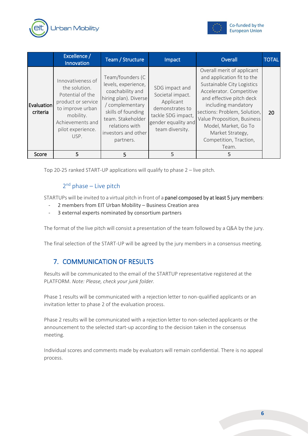



|                        | Excellence /<br>Innovation                                                                                                                                     | Team / Structure                                                                                                                                                                                         | Impact                                                                                                                             | Overall                                                                                                                                                                                                                                                                                                             | <b>TOTAL</b> |
|------------------------|----------------------------------------------------------------------------------------------------------------------------------------------------------------|----------------------------------------------------------------------------------------------------------------------------------------------------------------------------------------------------------|------------------------------------------------------------------------------------------------------------------------------------|---------------------------------------------------------------------------------------------------------------------------------------------------------------------------------------------------------------------------------------------------------------------------------------------------------------------|--------------|
| Evaluation<br>criteria | Innovativeness of<br>the solution.<br>Potential of the<br>product or service<br>to improve urban<br>mobility.<br>Achievements and<br>pilot experience.<br>USP. | Team/founders (C<br>levels, experience,<br>coachability and<br>hiring plan). Diverse<br>/ complementary<br>skills of founding<br>team. Stakeholder<br>relations with<br>investors and other<br>partners. | SDG impact and<br>Societal impact.<br>Applicant<br>demonstrates to<br>tackle SDG impact,<br>gender equality and<br>team diversity. | Overall merit of applicant<br>and application fit to the<br>Sustainable City Logistics<br>Accelerator. Competitive<br>and effective pitch deck<br>including mandatory<br>sections: Problem, Solution,<br>Value Proposition, Business<br>Model, Market, Go To<br>Market Strategy,<br>Competition, Traction,<br>Team. | 20           |
| Score                  | 5                                                                                                                                                              | 5                                                                                                                                                                                                        | 5                                                                                                                                  | 5                                                                                                                                                                                                                                                                                                                   |              |

Top 20-25 ranked START-UP applications will qualify to phase 2 – live pitch.

#### 2<sup>nd</sup> phase - Live pitch

STARTUPs will be invited to a virtual pitch in front of a panel composed by at least 5 jury members:

- 2 members from EIT Urban Mobility Business Creation area
- 3 external experts nominated by consortium partners

The format of the live pitch will consist a presentation of the team followed by a Q&A by the jury.

<span id="page-6-0"></span>The final selection of the START-UP will be agreed by the jury members in a consensus meeting.

### 7. COMMUNICATION OF RESULTS

Results will be communicated to the email of the STARTUP representative registered at the PLATFORM. *Note: Please, check your junk folder.*

Phase 1 results will be communicated with a rejection letter to non-qualified applicants or an invitation letter to phase 2 of the evaluation process.

Phase 2 results will be communicated with a rejection letter to non-selected applicants or the announcement to the selected start-up according to the decision taken in the consensus meeting.

Individual scores and comments made by evaluators will remain confidential. There is no appeal process.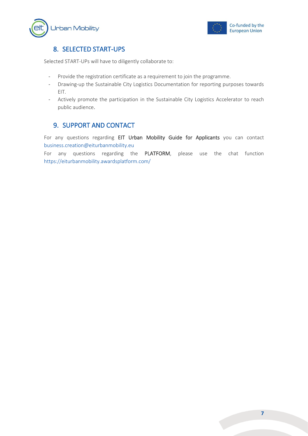



## <span id="page-7-0"></span>8. SELECTED START-UPS

Selected START-UPs will have to diligently collaborate to:

- Provide the registration certificate as a requirement to join the programme.
- Drawing-up the Sustainable City Logistics Documentation for reporting purposes towards EIT.
- Actively promote the participation in the Sustainable City Logistics Accelerator to reach public audience.

#### <span id="page-7-1"></span>9. SUPPORT AND CONTACT

For any questions regarding EIT Urban Mobility Guide for Applicants you can contact [business.creation@eiturbanmobility.eu](mailto:business.creation@eiturbanmobility.eu)

For any questions regarding the PLATFORM, please use the chat function <https://eiturbanmobility.awardsplatform.com/>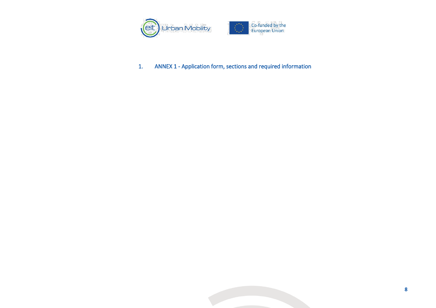

<span id="page-8-0"></span>1. ANNEX 1 - Application form, sections and required information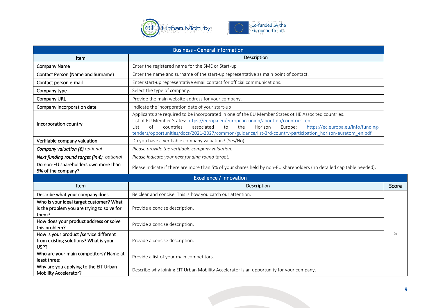

| <b>Business - General information</b>                                                          |                                                                                                                                                                                                                                                                                                                                                                                                                          |       |  |
|------------------------------------------------------------------------------------------------|--------------------------------------------------------------------------------------------------------------------------------------------------------------------------------------------------------------------------------------------------------------------------------------------------------------------------------------------------------------------------------------------------------------------------|-------|--|
| Item                                                                                           | Description                                                                                                                                                                                                                                                                                                                                                                                                              |       |  |
| <b>Company Name</b>                                                                            | Enter the registered name for the SME or Start-up                                                                                                                                                                                                                                                                                                                                                                        |       |  |
| <b>Contact Person (Name and Surname)</b>                                                       | Enter the name and surname of the start-up representative as main point of contact.                                                                                                                                                                                                                                                                                                                                      |       |  |
| Contact person e-mail                                                                          | Enter start-up representative email contact for official communications.                                                                                                                                                                                                                                                                                                                                                 |       |  |
| Company type                                                                                   | Select the type of company.                                                                                                                                                                                                                                                                                                                                                                                              |       |  |
| <b>Company URL</b>                                                                             | Provide the main website address for your company.                                                                                                                                                                                                                                                                                                                                                                       |       |  |
| Company incorporation date                                                                     | Indicate the incorporation date of your start-up                                                                                                                                                                                                                                                                                                                                                                         |       |  |
| Incorporation country                                                                          | Applicants are required to be incorporated in one of the EU Member States ot HE Associted countries.<br>List of EU Member States: https://europa.eu/european-union/about-eu/countries_en<br>the<br>https://ec.europa.eu/info/funding-<br>of<br>countries<br>associated<br>to<br>Horizon<br>Europe:<br>List<br>tenders/opportunities/docs/2021-2027/common/guidance/list-3rd-country-participation_horizon-euratom_en.pdf |       |  |
| Verifiable company valuation                                                                   | Do you have a verifiable company valuation? (Yes/No)                                                                                                                                                                                                                                                                                                                                                                     |       |  |
| Company valuation $(\epsilon)$ optional                                                        | Please provide the verifiable company valuation.                                                                                                                                                                                                                                                                                                                                                                         |       |  |
| Next funding round target (in €) optional                                                      | Please indicate your next funding round target.                                                                                                                                                                                                                                                                                                                                                                          |       |  |
| Do non-EU shareholders own more than<br>5% of the company?                                     | Please indicate if there are more than 5% of your shares held by non-EU shareholders (no detailed cap table needed).                                                                                                                                                                                                                                                                                                     |       |  |
|                                                                                                | Excellence / Innovation                                                                                                                                                                                                                                                                                                                                                                                                  |       |  |
| Item                                                                                           | Description                                                                                                                                                                                                                                                                                                                                                                                                              | Score |  |
| Describe what your company does                                                                | Be clear and concise. This is how you catch our attention.                                                                                                                                                                                                                                                                                                                                                               |       |  |
| Who is your ideal target customer? What<br>is the problem you are trying to solve for<br>them? | Provide a concise description.                                                                                                                                                                                                                                                                                                                                                                                           |       |  |
| How does your product address or solve<br>this problem?                                        | Provide a concise description.                                                                                                                                                                                                                                                                                                                                                                                           |       |  |
| How is your product /service different<br>from existing solutions? What is your<br>USP?        | Provide a concise description.                                                                                                                                                                                                                                                                                                                                                                                           | 5     |  |
| Who are your main competitors? Name at<br>least three:                                         | Provide a list of your main competitors.                                                                                                                                                                                                                                                                                                                                                                                 |       |  |
| Why are you applying to the EIT Urban<br><b>Mobility Accelerator?</b>                          | Describe why joining EIT Urban Mobility Accelerator is an opportunity for your company.                                                                                                                                                                                                                                                                                                                                  |       |  |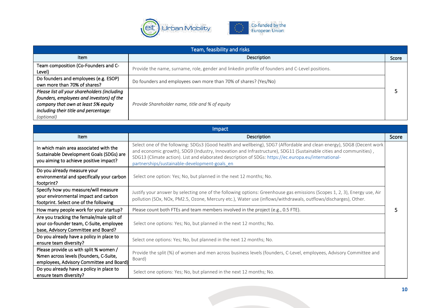

| Team, feasibility and risks                                                                                                                                                             |                                                                                                 |       |  |
|-----------------------------------------------------------------------------------------------------------------------------------------------------------------------------------------|-------------------------------------------------------------------------------------------------|-------|--|
| <b>Item</b>                                                                                                                                                                             | Description                                                                                     | Score |  |
| Team composition (Co-Founders and C-<br>Level)                                                                                                                                          | Provide the name, surname, role, gender and linkedin profile of founders and C-Level positions. |       |  |
| Do founders and employees (e.g. ESOP)<br>own more than 70% of shares?                                                                                                                   | Do founders and employees own more than 70% of shares? (Yes/No)                                 |       |  |
| Please list all your shareholders (including<br>founders, employees and investors) of the<br>company that own at least 5% equity<br>including their title and percentage:<br>(optional) | Provide Shareholder name, title and % of equity                                                 |       |  |

| Impact                                                                                                                       |                                                                                                                                                                                                                                                                                                                                                                                                     |       |  |
|------------------------------------------------------------------------------------------------------------------------------|-----------------------------------------------------------------------------------------------------------------------------------------------------------------------------------------------------------------------------------------------------------------------------------------------------------------------------------------------------------------------------------------------------|-------|--|
| Item                                                                                                                         | Description                                                                                                                                                                                                                                                                                                                                                                                         | Score |  |
| In which main area associated with the<br>Sustainable Development Goals (SDGs) are<br>you aiming to achieve positive impact? | Select one of the following: SDGs3 (Good health and wellbeing), SDG7 (Affordable and clean energy), SDG8 (Decent work<br>and economic growth), SDG9 (Industry, Innovation and Infrastructure), SDG11 (Sustainable cities and communities),<br>SDG13 (Climate action). List and elaborated description of SDGs: https://ec.europa.eu/international-<br>partnerships/sustainable-development-goals en |       |  |
| Do you already measure your<br>environmental and specifically your carbon<br>footprint?                                      | Select one option: Yes; No, but planned in the next 12 months; No.                                                                                                                                                                                                                                                                                                                                  |       |  |
| Specify how you measure/will measure<br>your environmental impact and carbon<br>footprint. Select one of the following       | Justify your answer by selecting one of the following options: Greenhouse gas emissions (Scopes 1, 2, 3), Energy use, Air<br>pollution (SOx, NOx, PM2.5, Ozone, Mercury etc.), Water use (inflows/withdrawals, outflows/discharges), Other.                                                                                                                                                         |       |  |
| How many people work for your startup?                                                                                       | Please count both FTEs and team members involved in the project (e.g., 0.5 FTE).                                                                                                                                                                                                                                                                                                                    |       |  |
| Are you tracking the female/male split of<br>your co-founder team, C-Suite, employee<br>base, Advisory Committee and Board?  | Select one options: Yes; No, but planned in the next 12 months; No.                                                                                                                                                                                                                                                                                                                                 |       |  |
| Do you already have a policy in place to<br>ensure team diversity?                                                           | Select one options: Yes; No, but planned in the next 12 months; No.                                                                                                                                                                                                                                                                                                                                 |       |  |
| Please provide us with split % women /<br>%men across levels (founders, C-Suite,<br>employees, Advisory Committee and Board) | Provide the split (%) of women and men across business levels (founders, C-Level, employees, Advisory Committee and<br>Board)                                                                                                                                                                                                                                                                       |       |  |
| Do you already have a policy in place to<br>ensure team diversity?                                                           | Select one options: Yes; No, but planned in the next 12 months; No.                                                                                                                                                                                                                                                                                                                                 |       |  |